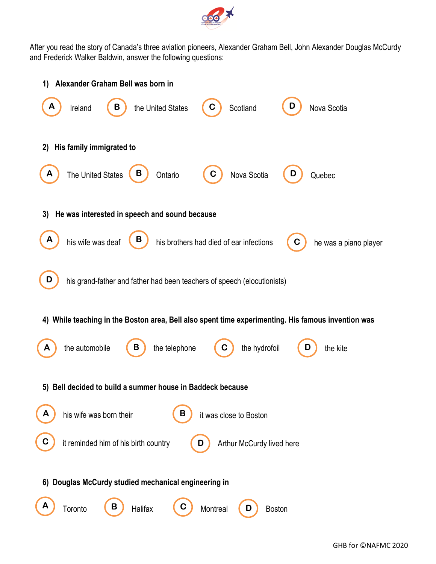

After you read the story of Canada's three aviation pioneers, Alexander Graham Bell, John Alexander Douglas McCurdy and Frederick Walker Baldwin, answer the following questions: